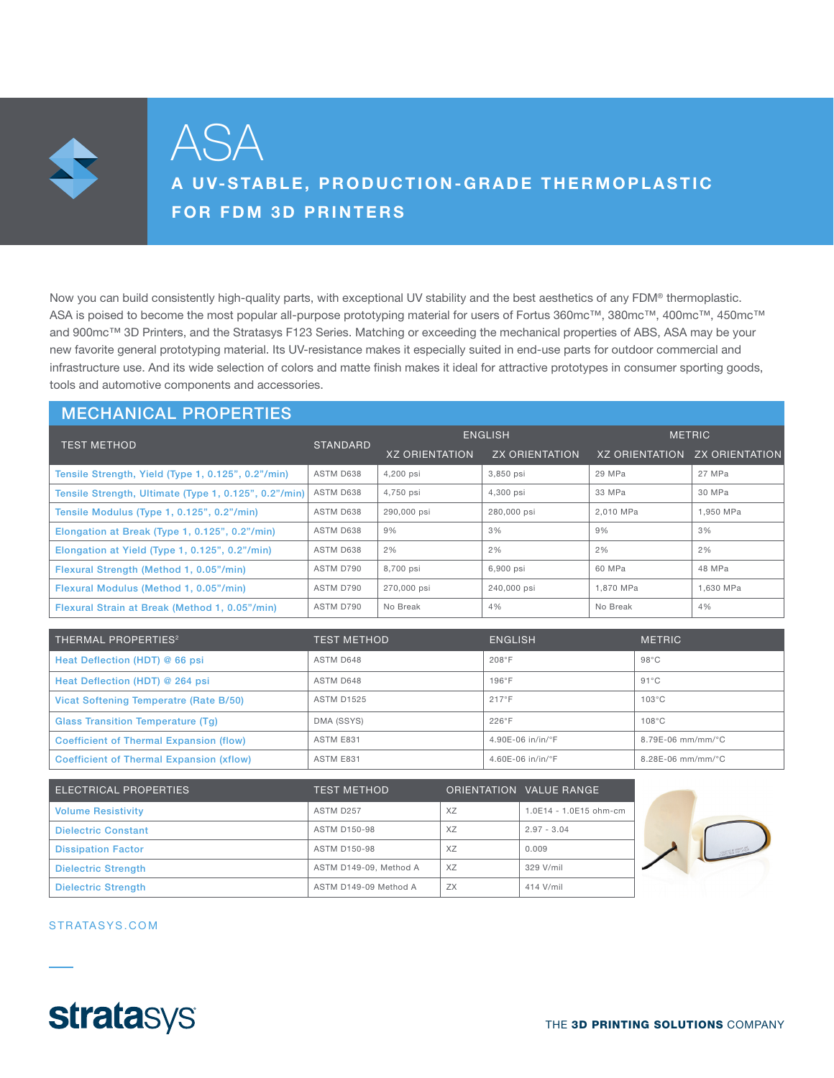

ASA

# A UV-STABLE, PRODUCTION-GRADE THERMOPLASTIC FOR FDM 3D PRINTERS

Now you can build consistently high-quality parts, with exceptional UV stability and the best aesthetics of any FDM® thermoplastic. ASA is poised to become the most popular all-purpose prototyping material for users of Fortus 360mc™, 380mc™, 400mc™, 450mc™ and 900mc™ 3D Printers, and the Stratasys F123 Series. Matching or exceeding the mechanical properties of ABS, ASA may be your new favorite general prototyping material. Its UV-resistance makes it especially suited in end-use parts for outdoor commercial and infrastructure use. And its wide selection of colors and matte finish makes it ideal for attractive prototypes in consumer sporting goods, tools and automotive components and accessories.

## MECHANICAL PROPERTIES

| <b>TEST METHOD</b>                                    | <b>STANDARD</b> | <b>ENGLISH</b>        |                       | <b>METRIC</b>         |                       |
|-------------------------------------------------------|-----------------|-----------------------|-----------------------|-----------------------|-----------------------|
|                                                       |                 | <b>XZ ORIENTATION</b> | <b>ZX ORIENTATION</b> | <b>XZ ORIENTATION</b> | <b>ZX ORIENTATION</b> |
| Tensile Strength, Yield (Type 1, 0.125", 0.2"/min)    | ASTM D638       | 4,200 psi             | 3,850 psi             | 29 MPa                | 27 MPa                |
| Tensile Strength, Ultimate (Type 1, 0.125", 0.2"/min) | ASTM D638       | 4,750 psi             | 4,300 psi             | 33 MPa                | 30 MPa                |
| Tensile Modulus (Type 1, 0.125", 0.2"/min)            | ASTM D638       | 290,000 psi           | 280,000 psi           | 2.010 MPa             | 1.950 MPa             |
| Elongation at Break (Type 1, 0.125", 0.2"/min)        | ASTM D638       | 9%                    | 3%                    | 9%                    | 3%                    |
| Elongation at Yield (Type 1, 0.125", 0.2"/min)        | ASTM D638       | 2%                    | 2%                    | 2%                    | 2%                    |
| Flexural Strength (Method 1, 0.05"/min)               | ASTM D790       | 8,700 psi             | 6,900 psi             | 60 MPa                | 48 MPa                |
| Flexural Modulus (Method 1, 0.05"/min)                | ASTM D790       | 270,000 psi           | 240,000 psi           | 1.870 MPa             | 1.630 MPa             |
| Flexural Strain at Break (Method 1, 0.05"/min)        | ASTM D790       | No Break              | 4%                    | No Break              | 4%                    |

| THERMAL PROPERTIES <sup>2</sup>                 | TEST METHOD       | <b>ENGLISH</b>                  | <b>METRIC</b>         |
|-------------------------------------------------|-------------------|---------------------------------|-----------------------|
| Heat Deflection (HDT) @ 66 psi                  | ASTM D648         | 208°F                           | $98^{\circ}$ C        |
| Heat Deflection (HDT) @ 264 psi                 | ASTM D648         | $196^\circ F$                   | $91^{\circ}$ C        |
| Vicat Softening Temperatre (Rate B/50)          | <b>ASTM D1525</b> | $217^{\circ}$ F                 | $103^{\circ}$ C       |
| <b>Glass Transition Temperature (Tg)</b>        | DMA (SSYS)        | $226^\circ F$                   | $108^{\circ}$ C       |
| <b>Coefficient of Thermal Expansion (flow)</b>  | ASTM E831         | 4.90E-06 in/in/ $\degree$ F     | $8.79E - 06$ mm/mm/°C |
| <b>Coefficient of Thermal Expansion (xflow)</b> | ASTM E831         | $4.60E - 06$ in/in/ $\degree$ F | $8.28E - 06$ mm/mm/°C |

| <b>ELECTRICAL PROPERTIES</b> | <b>TEST METHOD</b>     |           | ORIENTATION VALUE RANGE |
|------------------------------|------------------------|-----------|-------------------------|
| <b>Volume Resistivity</b>    | ASTM D257              | XZ        | 1.0E14 - 1.0E15 ohm-cm  |
| <b>Dielectric Constant</b>   | ASTM D150-98           | XZ        | $2.97 - 3.04$           |
| <b>Dissipation Factor</b>    | ASTM D150-98           | XZ        | 0.009                   |
| <b>Dielectric Strength</b>   | ASTM D149-09. Method A | XZ        | 329 V/mil               |
| <b>Dielectric Strength</b>   | ASTM D149-09 Method A  | <b>ZX</b> | 414 V/mil               |



#### STRATASYS.COM